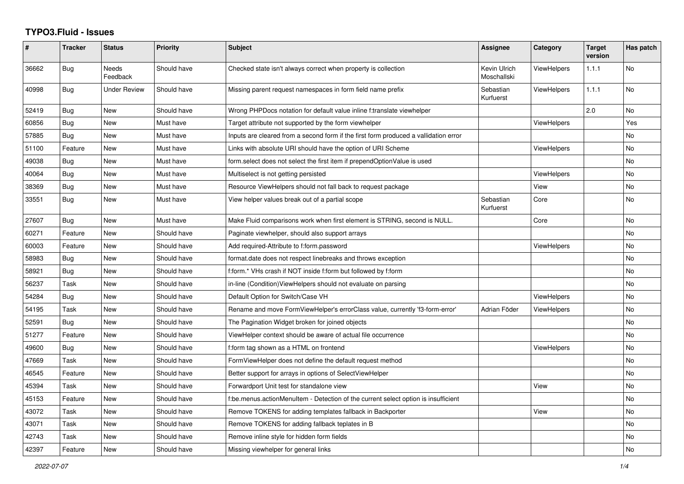## **TYPO3.Fluid - Issues**

| #     | <b>Tracker</b> | <b>Status</b>            | Priority    | Subject                                                                              | Assignee                    | Category           | <b>Target</b><br>version | Has patch |
|-------|----------------|--------------------------|-------------|--------------------------------------------------------------------------------------|-----------------------------|--------------------|--------------------------|-----------|
| 36662 | <b>Bug</b>     | <b>Needs</b><br>Feedback | Should have | Checked state isn't always correct when property is collection                       | Kevin Ulrich<br>Moschallski | ViewHelpers        | 1.1.1                    | <b>No</b> |
| 40998 | Bug            | <b>Under Review</b>      | Should have | Missing parent request namespaces in form field name prefix                          | Sebastian<br>Kurfuerst      | <b>ViewHelpers</b> | 1.1.1                    | No        |
| 52419 | Bug            | <b>New</b>               | Should have | Wrong PHPDocs notation for default value inline f:translate viewhelper               |                             |                    | 2.0                      | No        |
| 60856 | Bug            | <b>New</b>               | Must have   | Target attribute not supported by the form viewhelper                                |                             | <b>ViewHelpers</b> |                          | Yes       |
| 57885 | Bug            | New                      | Must have   | Inputs are cleared from a second form if the first form produced a vallidation error |                             |                    |                          | No        |
| 51100 | Feature        | New                      | Must have   | Links with absolute URI should have the option of URI Scheme                         |                             | ViewHelpers        |                          | No        |
| 49038 | Bug            | <b>New</b>               | Must have   | form select does not select the first item if prependOptionValue is used             |                             |                    |                          | No        |
| 40064 | Bug            | <b>New</b>               | Must have   | Multiselect is not getting persisted                                                 |                             | <b>ViewHelpers</b> |                          | No        |
| 38369 | Bug            | New                      | Must have   | Resource ViewHelpers should not fall back to request package                         |                             | View               |                          | No        |
| 33551 | <b>Bug</b>     | New                      | Must have   | View helper values break out of a partial scope                                      | Sebastian<br>Kurfuerst      | Core               |                          | No        |
| 27607 | Bug            | <b>New</b>               | Must have   | Make Fluid comparisons work when first element is STRING, second is NULL.            |                             | Core               |                          | No        |
| 60271 | Feature        | <b>New</b>               | Should have | Paginate viewhelper, should also support arrays                                      |                             |                    |                          | No        |
| 60003 | Feature        | <b>New</b>               | Should have | Add required-Attribute to f:form.password                                            |                             | <b>ViewHelpers</b> |                          | No        |
| 58983 | Bug            | New                      | Should have | format.date does not respect linebreaks and throws exception                         |                             |                    |                          | No        |
| 58921 | <b>Bug</b>     | New                      | Should have | f:form.* VHs crash if NOT inside f:form but followed by f:form                       |                             |                    |                          | No        |
| 56237 | Task           | <b>New</b>               | Should have | in-line (Condition) ViewHelpers should not evaluate on parsing                       |                             |                    |                          | <b>No</b> |
| 54284 | Bug            | New                      | Should have | Default Option for Switch/Case VH                                                    |                             | <b>ViewHelpers</b> |                          | No        |
| 54195 | Task           | New                      | Should have | Rename and move FormViewHelper's errorClass value, currently 'f3-form-error'         | Adrian Föder                | <b>ViewHelpers</b> |                          | No        |
| 52591 | Bug            | <b>New</b>               | Should have | The Pagination Widget broken for joined objects                                      |                             |                    |                          | No        |
| 51277 | Feature        | New                      | Should have | ViewHelper context should be aware of actual file occurrence                         |                             |                    |                          | No        |
| 49600 | Bug            | <b>New</b>               | Should have | f:form tag shown as a HTML on frontend                                               |                             | <b>ViewHelpers</b> |                          | No        |
| 47669 | Task           | <b>New</b>               | Should have | FormViewHelper does not define the default request method                            |                             |                    |                          | No        |
| 46545 | Feature        | New                      | Should have | Better support for arrays in options of SelectViewHelper                             |                             |                    |                          | No        |
| 45394 | Task           | <b>New</b>               | Should have | Forwardport Unit test for standalone view                                            |                             | View               |                          | No        |
| 45153 | Feature        | New                      | Should have | f:be.menus.actionMenuItem - Detection of the current select option is insufficient   |                             |                    |                          | No        |
| 43072 | Task           | New                      | Should have | Remove TOKENS for adding templates fallback in Backporter                            |                             | View               |                          | No        |
| 43071 | Task           | <b>New</b>               | Should have | Remove TOKENS for adding fallback teplates in B                                      |                             |                    |                          | No        |
| 42743 | Task           | New                      | Should have | Remove inline style for hidden form fields                                           |                             |                    |                          | No        |
| 42397 | Feature        | <b>New</b>               | Should have | Missing viewhelper for general links                                                 |                             |                    |                          | No.       |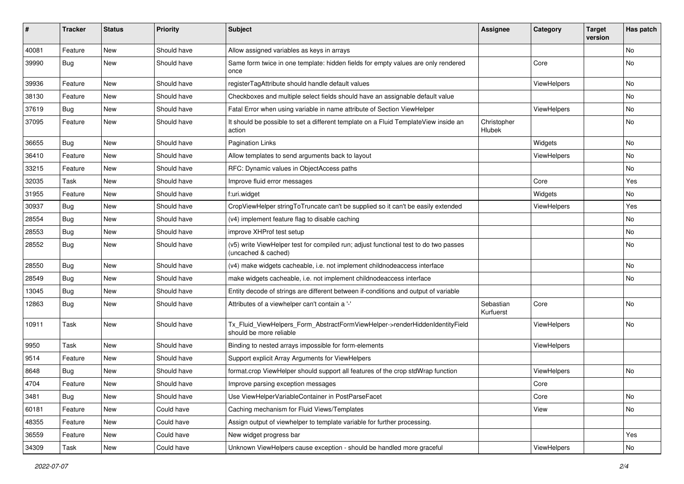| #     | <b>Tracker</b> | <b>Status</b> | <b>Priority</b> | <b>Subject</b>                                                                                              | <b>Assignee</b>        | Category           | <b>Target</b><br>version | Has patch     |
|-------|----------------|---------------|-----------------|-------------------------------------------------------------------------------------------------------------|------------------------|--------------------|--------------------------|---------------|
| 40081 | Feature        | <b>New</b>    | Should have     | Allow assigned variables as keys in arrays                                                                  |                        |                    |                          | <b>No</b>     |
| 39990 | Bug            | New           | Should have     | Same form twice in one template: hidden fields for empty values are only rendered<br>once                   |                        | Core               |                          | No            |
| 39936 | Feature        | <b>New</b>    | Should have     | registerTagAttribute should handle default values                                                           |                        | ViewHelpers        |                          | No            |
| 38130 | Feature        | New           | Should have     | Checkboxes and multiple select fields should have an assignable default value                               |                        |                    |                          | No            |
| 37619 | Bug            | New           | Should have     | Fatal Error when using variable in name attribute of Section ViewHelper                                     |                        | ViewHelpers        |                          | No            |
| 37095 | Feature        | New           | Should have     | It should be possible to set a different template on a Fluid TemplateView inside an<br>action               | Christopher<br>Hlubek  |                    |                          | No            |
| 36655 | Bug            | New           | Should have     | <b>Pagination Links</b>                                                                                     |                        | Widgets            |                          | No            |
| 36410 | Feature        | New           | Should have     | Allow templates to send arguments back to layout                                                            |                        | ViewHelpers        |                          | No            |
| 33215 | Feature        | New           | Should have     | RFC: Dynamic values in ObjectAccess paths                                                                   |                        |                    |                          | No.           |
| 32035 | Task           | New           | Should have     | Improve fluid error messages                                                                                |                        | Core               |                          | Yes           |
| 31955 | Feature        | New           | Should have     | f:uri.widget                                                                                                |                        | Widgets            |                          | No            |
| 30937 | Bug            | New           | Should have     | CropViewHelper stringToTruncate can't be supplied so it can't be easily extended                            |                        | ViewHelpers        |                          | Yes           |
| 28554 | Bug            | New           | Should have     | (v4) implement feature flag to disable caching                                                              |                        |                    |                          | No            |
| 28553 | Bug            | New           | Should have     | improve XHProf test setup                                                                                   |                        |                    |                          | No            |
| 28552 | Bug            | New           | Should have     | (v5) write ViewHelper test for compiled run; adjust functional test to do two passes<br>(uncached & cached) |                        |                    |                          | No            |
| 28550 | Bug            | <b>New</b>    | Should have     | (v4) make widgets cacheable, i.e. not implement childnodeaccess interface                                   |                        |                    |                          | No            |
| 28549 | Bug            | New           | Should have     | make widgets cacheable, i.e. not implement childnodeaccess interface                                        |                        |                    |                          | No            |
| 13045 | Bug            | New           | Should have     | Entity decode of strings are different between if-conditions and output of variable                         |                        |                    |                          |               |
| 12863 | Bug            | New           | Should have     | Attributes of a viewhelper can't contain a '-'                                                              | Sebastian<br>Kurfuerst | Core               |                          | No            |
| 10911 | Task           | New           | Should have     | Tx_Fluid_ViewHelpers_Form_AbstractFormViewHelper->renderHiddenIdentityField<br>should be more reliable      |                        | ViewHelpers        |                          | No            |
| 9950  | Task           | New           | Should have     | Binding to nested arrays impossible for form-elements                                                       |                        | <b>ViewHelpers</b> |                          |               |
| 9514  | Feature        | New           | Should have     | Support explicit Array Arguments for ViewHelpers                                                            |                        |                    |                          |               |
| 8648  | Bug            | New           | Should have     | format.crop ViewHelper should support all features of the crop stdWrap function                             |                        | ViewHelpers        |                          | No            |
| 4704  | Feature        | New           | Should have     | Improve parsing exception messages                                                                          |                        | Core               |                          |               |
| 3481  | Bug            | New           | Should have     | Use ViewHelperVariableContainer in PostParseFacet                                                           |                        | Core               |                          | $\mathsf{No}$ |
| 60181 | Feature        | New           | Could have      | Caching mechanism for Fluid Views/Templates                                                                 |                        | View               |                          | No            |
| 48355 | Feature        | New           | Could have      | Assign output of viewhelper to template variable for further processing.                                    |                        |                    |                          |               |
| 36559 | Feature        | New           | Could have      | New widget progress bar                                                                                     |                        |                    |                          | Yes           |
| 34309 | Task           | New           | Could have      | Unknown ViewHelpers cause exception - should be handled more graceful                                       |                        | ViewHelpers        |                          | No            |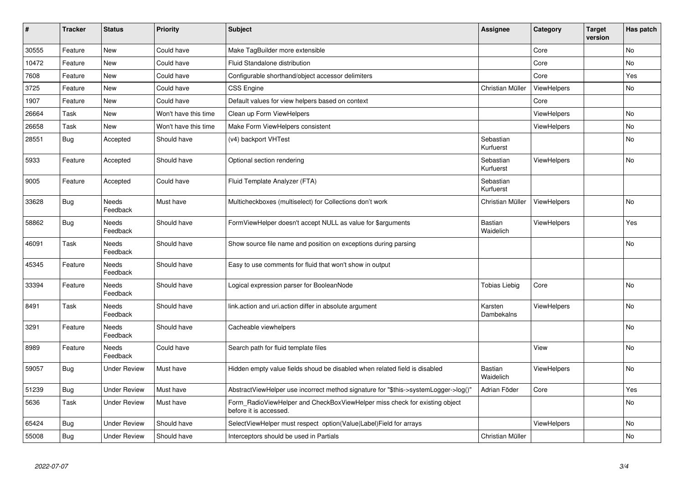| $\pmb{\#}$ | <b>Tracker</b> | <b>Status</b>            | <b>Priority</b>      | Subject                                                                                              | Assignee                    | Category           | <b>Target</b><br>version | Has patch |
|------------|----------------|--------------------------|----------------------|------------------------------------------------------------------------------------------------------|-----------------------------|--------------------|--------------------------|-----------|
| 30555      | Feature        | New                      | Could have           | Make TagBuilder more extensible                                                                      |                             | Core               |                          | <b>No</b> |
| 10472      | Feature        | New                      | Could have           | Fluid Standalone distribution                                                                        |                             | Core               |                          | <b>No</b> |
| 7608       | Feature        | New                      | Could have           | Configurable shorthand/object accessor delimiters                                                    |                             | Core               |                          | Yes       |
| 3725       | Feature        | New                      | Could have           | <b>CSS Engine</b>                                                                                    | Christian Müller            | ViewHelpers        |                          | No        |
| 1907       | Feature        | <b>New</b>               | Could have           | Default values for view helpers based on context                                                     |                             | Core               |                          |           |
| 26664      | Task           | New                      | Won't have this time | Clean up Form ViewHelpers                                                                            |                             | ViewHelpers        |                          | No        |
| 26658      | Task           | <b>New</b>               | Won't have this time | Make Form ViewHelpers consistent                                                                     |                             | <b>ViewHelpers</b> |                          | <b>No</b> |
| 28551      | Bug            | Accepted                 | Should have          | (v4) backport VHTest                                                                                 | Sebastian<br>Kurfuerst      |                    |                          | <b>No</b> |
| 5933       | Feature        | Accepted                 | Should have          | Optional section rendering                                                                           | Sebastian<br>Kurfuerst      | ViewHelpers        |                          | No        |
| 9005       | Feature        | Accepted                 | Could have           | Fluid Template Analyzer (FTA)                                                                        | Sebastian<br>Kurfuerst      |                    |                          |           |
| 33628      | Bug            | <b>Needs</b><br>Feedback | Must have            | Multicheckboxes (multiselect) for Collections don't work                                             | Christian Müller            | <b>ViewHelpers</b> |                          | <b>No</b> |
| 58862      | Bug            | <b>Needs</b><br>Feedback | Should have          | FormViewHelper doesn't accept NULL as value for \$arguments                                          | Bastian<br>Waidelich        | <b>ViewHelpers</b> |                          | Yes       |
| 46091      | Task           | Needs<br>Feedback        | Should have          | Show source file name and position on exceptions during parsing                                      |                             |                    |                          | No        |
| 45345      | Feature        | Needs<br>Feedback        | Should have          | Easy to use comments for fluid that won't show in output                                             |                             |                    |                          |           |
| 33394      | Feature        | Needs<br>Feedback        | Should have          | Logical expression parser for BooleanNode                                                            | <b>Tobias Liebig</b>        | Core               |                          | <b>No</b> |
| 8491       | Task           | Needs<br>Feedback        | Should have          | link action and uri action differ in absolute argument                                               | Karsten<br>Dambekalns       | ViewHelpers        |                          | No        |
| 3291       | Feature        | Needs<br>Feedback        | Should have          | Cacheable viewhelpers                                                                                |                             |                    |                          | No        |
| 8989       | Feature        | Needs<br>Feedback        | Could have           | Search path for fluid template files                                                                 |                             | View               |                          | <b>No</b> |
| 59057      | Bug            | <b>Under Review</b>      | Must have            | Hidden empty value fields shoud be disabled when related field is disabled                           | <b>Bastian</b><br>Waidelich | ViewHelpers        |                          | <b>No</b> |
| 51239      | <b>Bug</b>     | <b>Under Review</b>      | Must have            | AbstractViewHelper use incorrect method signature for "\$this->systemLogger->log()"                  | Adrian Föder                | Core               |                          | Yes       |
| 5636       | Task           | <b>Under Review</b>      | Must have            | Form_RadioViewHelper and CheckBoxViewHelper miss check for existing object<br>before it is accessed. |                             |                    |                          | <b>No</b> |
| 65424      | Bug            | <b>Under Review</b>      | Should have          | SelectViewHelper must respect option(Value Label)Field for arrays                                    |                             | ViewHelpers        |                          | No        |
| 55008      | Bug            | <b>Under Review</b>      | Should have          | Interceptors should be used in Partials                                                              | Christian Müller            |                    |                          | <b>No</b> |